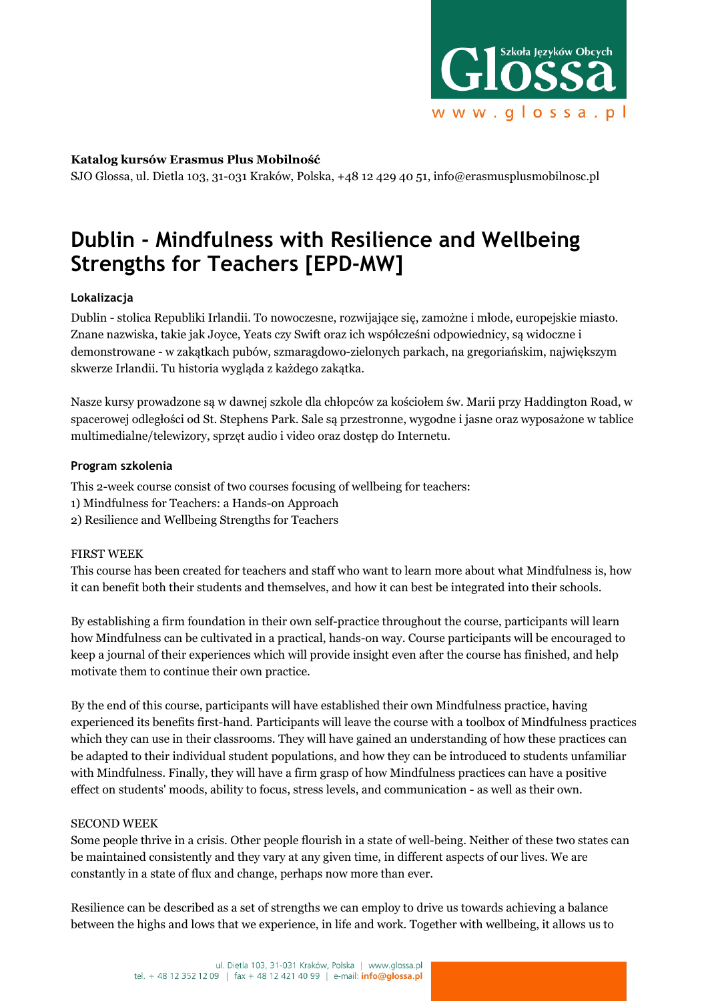

### **Katalog kursów Erasmus Plus Mobilność**

SJO Glossa, ul. Dietla 103, 31-031 Kraków, Polska, +48 12 429 40 51, info@erasmusplusmobilnosc.pl

# **Dublin - Mindfulness with Resilience and Wellbeing Strengths for Teachers [EPD-MW]**

### **Lokalizacja**

Dublin - stolica Republiki Irlandii. To nowoczesne, rozwijające się, zamożne i młode, europejskie miasto. Znane nazwiska, takie jak Joyce, Yeats czy Swift oraz ich współcześni odpowiednicy, są widoczne i demonstrowane - w zakątkach pubów, szmaragdowo-zielonych parkach, na gregoriańskim, największym skwerze Irlandii. Tu historia wygląda z każdego zakątka.

Nasze kursy prowadzone są w dawnej szkole dla chłopców za kościołem św. Marii przy Haddington Road, w spacerowej odległości od St. Stephens Park. Sale są przestronne, wygodne i jasne oraz wyposażone w tablice multimedialne/telewizory, sprzęt audio i video oraz dostęp do Internetu.

### **Program szkolenia**

This 2-week course consist of two courses focusing of wellbeing for teachers:

- 1) Mindfulness for Teachers: a Hands-on Approach
- 2) Resilience and Wellbeing Strengths for Teachers

### FIRST WEEK

This course has been created for teachers and staff who want to learn more about what Mindfulness is, how it can benefit both their students and themselves, and how it can best be integrated into their schools.

By establishing a firm foundation in their own self-practice throughout the course, participants will learn how Mindfulness can be cultivated in a practical, hands-on way. Course participants will be encouraged to keep a journal of their experiences which will provide insight even after the course has finished, and help motivate them to continue their own practice.

By the end of this course, participants will have established their own Mindfulness practice, having experienced its benefits first-hand. Participants will leave the course with a toolbox of Mindfulness practices which they can use in their classrooms. They will have gained an understanding of how these practices can be adapted to their individual student populations, and how they can be introduced to students unfamiliar with Mindfulness. Finally, they will have a firm grasp of how Mindfulness practices can have a positive effect on students' moods, ability to focus, stress levels, and communication - as well as their own.

### SECOND WEEK

Some people thrive in a crisis. Other people flourish in a state of well-being. Neither of these two states can be maintained consistently and they vary at any given time, in different aspects of our lives. We are constantly in a state of flux and change, perhaps now more than ever.

Resilience can be described as a set of strengths we can employ to drive us towards achieving a balance between the highs and lows that we experience, in life and work. Together with wellbeing, it allows us to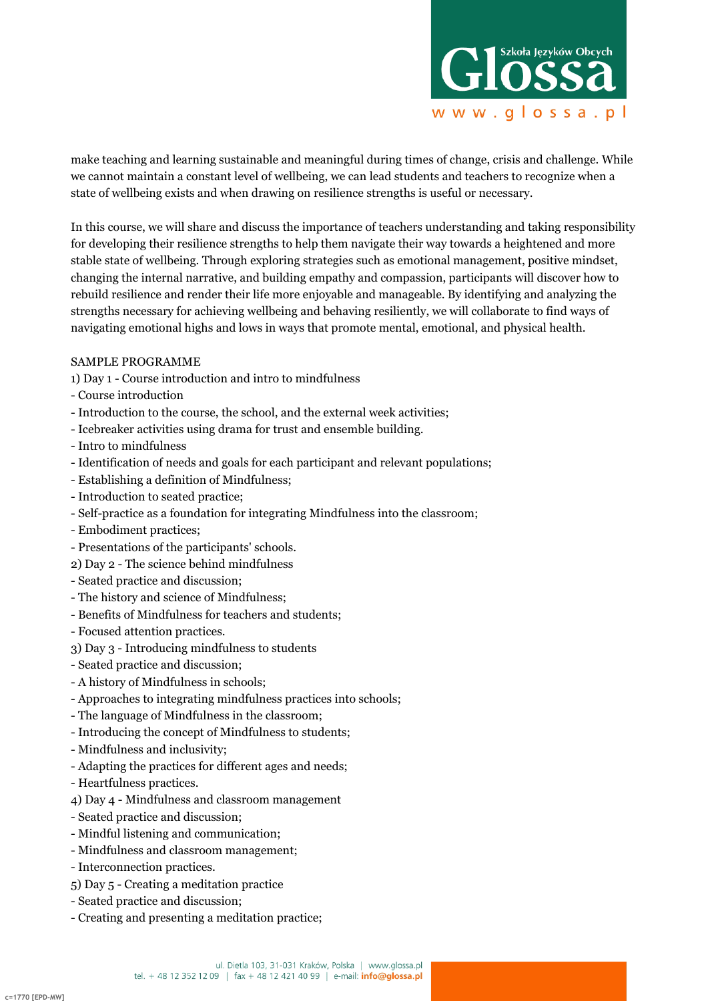

make teaching and learning sustainable and meaningful during times of change, crisis and challenge. While we cannot maintain a constant level of wellbeing, we can lead students and teachers to recognize when a state of wellbeing exists and when drawing on resilience strengths is useful or necessary.

In this course, we will share and discuss the importance of teachers understanding and taking responsibility for developing their resilience strengths to help them navigate their way towards a heightened and more stable state of wellbeing. Through exploring strategies such as emotional management, positive mindset, changing the internal narrative, and building empathy and compassion, participants will discover how to rebuild resilience and render their life more enjoyable and manageable. By identifying and analyzing the strengths necessary for achieving wellbeing and behaving resiliently, we will collaborate to find ways of navigating emotional highs and lows in ways that promote mental, emotional, and physical health.

### SAMPLE PROGRAMME

- 1) Day 1 Course introduction and intro to mindfulness
- Course introduction
- Introduction to the course, the school, and the external week activities;
- Icebreaker activities using drama for trust and ensemble building.
- Intro to mindfulness
- Identification of needs and goals for each participant and relevant populations;
- Establishing a definition of Mindfulness;
- Introduction to seated practice;
- Self-practice as a foundation for integrating Mindfulness into the classroom;
- Embodiment practices;
- Presentations of the participants' schools.
- 2) Day 2 The science behind mindfulness
- Seated practice and discussion;
- The history and science of Mindfulness;
- Benefits of Mindfulness for teachers and students;
- Focused attention practices.
- 3) Day 3 Introducing mindfulness to students
- Seated practice and discussion;
- A history of Mindfulness in schools;
- Approaches to integrating mindfulness practices into schools;
- The language of Mindfulness in the classroom;
- Introducing the concept of Mindfulness to students;
- Mindfulness and inclusivity;
- Adapting the practices for different ages and needs;
- Heartfulness practices.
- 4) Day 4 Mindfulness and classroom management
- Seated practice and discussion;
- Mindful listening and communication;
- Mindfulness and classroom management;
- Interconnection practices.
- 5) Day 5 Creating a meditation practice
- Seated practice and discussion;
- Creating and presenting a meditation practice;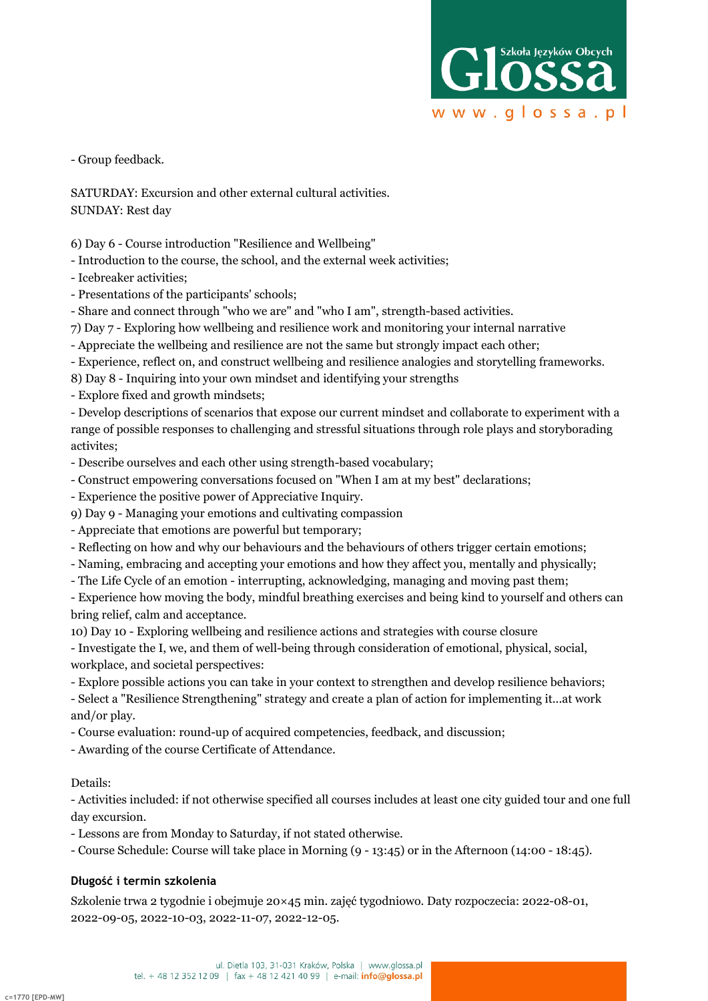

- Group feedback.

SATURDAY: Excursion and other external cultural activities. SUNDAY: Rest day

- 6) Day 6 Course introduction "Resilience and Wellbeing"
- Introduction to the course, the school, and the external week activities;
- Icebreaker activities;
- Presentations of the participants' schools;
- Share and connect through "who we are" and "who I am", strength-based activities.
- 7) Day 7 Exploring how wellbeing and resilience work and monitoring your internal narrative
- Appreciate the wellbeing and resilience are not the same but strongly impact each other;
- Experience, reflect on, and construct wellbeing and resilience analogies and storytelling frameworks.
- 8) Day 8 Inquiring into your own mindset and identifying your strengths
- Explore fixed and growth mindsets;

- Develop descriptions of scenarios that expose our current mindset and collaborate to experiment with a range of possible responses to challenging and stressful situations through role plays and storyborading activites;

- Describe ourselves and each other using strength-based vocabulary;
- Construct empowering conversations focused on "When I am at my best" declarations;
- Experience the positive power of Appreciative Inquiry.
- 9) Day 9 Managing your emotions and cultivating compassion
- Appreciate that emotions are powerful but temporary;
- Reflecting on how and why our behaviours and the behaviours of others trigger certain emotions;
- Naming, embracing and accepting your emotions and how they affect you, mentally and physically;
- The Life Cycle of an emotion interrupting, acknowledging, managing and moving past them;
- Experience how moving the body, mindful breathing exercises and being kind to yourself and others can bring relief, calm and acceptance.
- 10) Day 10 Exploring wellbeing and resilience actions and strategies with course closure
- Investigate the I, we, and them of well-being through consideration of emotional, physical, social, workplace, and societal perspectives:
- Explore possible actions you can take in your context to strengthen and develop resilience behaviors;
- Select a "Resilience Strengthening" strategy and create a plan of action for implementing it...at work and/or play.
- Course evaluation: round-up of acquired competencies, feedback, and discussion;
- Awarding of the course Certificate of Attendance.

## Details:

- Activities included: if not otherwise specified all courses includes at least one city guided tour and one full day excursion.

- Lessons are from Monday to Saturday, if not stated otherwise.

- Course Schedule: Course will take place in Morning (9 - 13:45) or in the Afternoon (14:00 - 18:45).

### **Długość i termin szkolenia**

Szkolenie trwa 2 tygodnie i obejmuje 20×45 min. zajęć tygodniowo. Daty rozpoczecia: 2022-08-01, 2022-09-05, 2022-10-03, 2022-11-07, 2022-12-05.